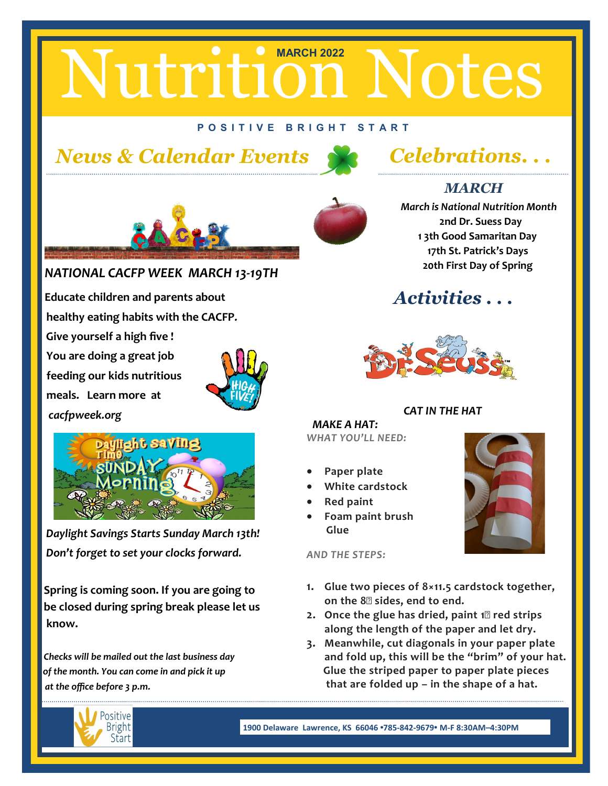# Nutrition Notes

#### **P O S I T I V E B R I G H T S T A R T**

### *News & Calendar Events Celebrations. . .*



#### *MARCH*

 *March is National Nutrition Month*  **2nd Dr. Suess Day 1 3th Good Samaritan Day 17th St. Patrick's Days 20th First Day of Spring** 

#### *Activities . . .*



#### *CAT IN THE HAT*

 *MAKE A HAT: WHAT YOU'LL NEED:*

- **Paper plate**
- **White cardstock**
- **Red paint**
- **Foam paint brush Glue**

*AND THE STEPS:*

- **1. Glue two pieces of 8×11.5 cardstock together, on the 8″ sides, end to end.**
- **2. Once the glue has dried, paint 1″ red strips along the length of the paper and let dry.**
- **3. Meanwhile, cut diagonals in your paper plate and fold up, this will be the "brim" of your hat. Glue the striped paper to paper plate pieces that are folded up – in the shape of a hat.**



**1900 Delaware Lawrence, KS 66046 •785-842-9679• M-F 8:30AM–4:30PM** 



#### *NATIONAL CACFP WEEK MARCH 13-19TH*

 **Educate children and parents about healthy eating habits with the CACFP***.* **Give yourself a high five ! You are doing a great job feeding our kids nutritious meals. Learn more at**  *cacfpweek.org*





 *Daylight Savings Starts Sunday March 13th! Don't forget to set your clocks forward.*

 **Spring is coming soon. If you are going to be closed during spring break please let us know.**

 *Checks will be mailed out the last business day of the month. You can come in and pick it up at the office before 3 p.m.*